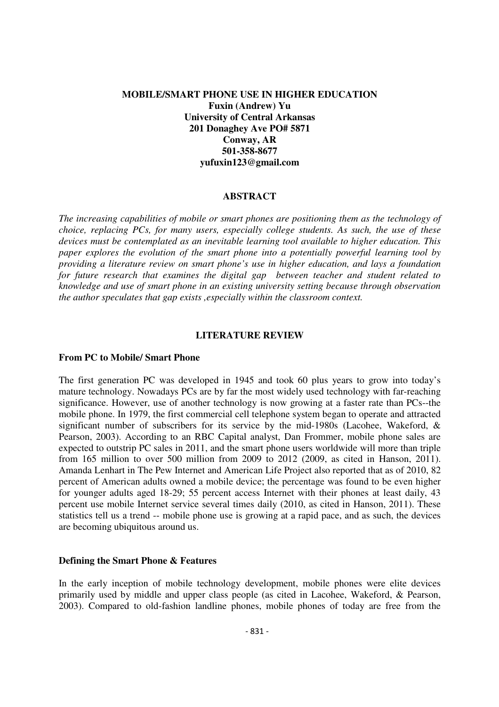## **MOBILE/SMART PHONE USE IN HIGHER EDUCATION Fuxin (Andrew) Yu University of Central Arkansas 201 Donaghey Ave PO# 5871 Conway, AR 501-358-8677 yufuxin123@gmail.com**

#### **ABSTRACT**

*The increasing capabilities of mobile or smart phones are positioning them as the technology of choice, replacing PCs, for many users, especially college students. As such, the use of these devices must be contemplated as an inevitable learning tool available to higher education. This paper explores the evolution of the smart phone into a potentially powerful learning tool by providing a literature review on smart phone's use in higher education, and lays a foundation for future research that examines the digital gap between teacher and student related to knowledge and use of smart phone in an existing university setting because through observation the author speculates that gap exists ,especially within the classroom context.* 

#### **LITERATURE REVIEW**

### **From PC to Mobile/ Smart Phone**

The first generation PC was developed in 1945 and took 60 plus years to grow into today's mature technology. Nowadays PCs are by far the most widely used technology with far-reaching significance. However, use of another technology is now growing at a faster rate than PCs--the mobile phone. In 1979, the first commercial cell telephone system began to operate and attracted significant number of subscribers for its service by the mid-1980s (Lacohee, Wakeford, & Pearson, 2003). According to an RBC Capital analyst, Dan Frommer, mobile phone sales are expected to outstrip PC sales in 2011, and the smart phone users worldwide will more than triple from 165 million to over 500 million from 2009 to 2012 (2009, as cited in Hanson, 2011). Amanda Lenhart in The Pew Internet and American Life Project also reported that as of 2010, 82 percent of American adults owned a mobile device; the percentage was found to be even higher for younger adults aged 18-29; 55 percent access Internet with their phones at least daily, 43 percent use mobile Internet service several times daily (2010, as cited in Hanson, 2011). These statistics tell us a trend -- mobile phone use is growing at a rapid pace, and as such, the devices are becoming ubiquitous around us.

#### **Defining the Smart Phone & Features**

In the early inception of mobile technology development, mobile phones were elite devices primarily used by middle and upper class people (as cited in Lacohee, Wakeford, & Pearson, 2003). Compared to old-fashion landline phones, mobile phones of today are free from the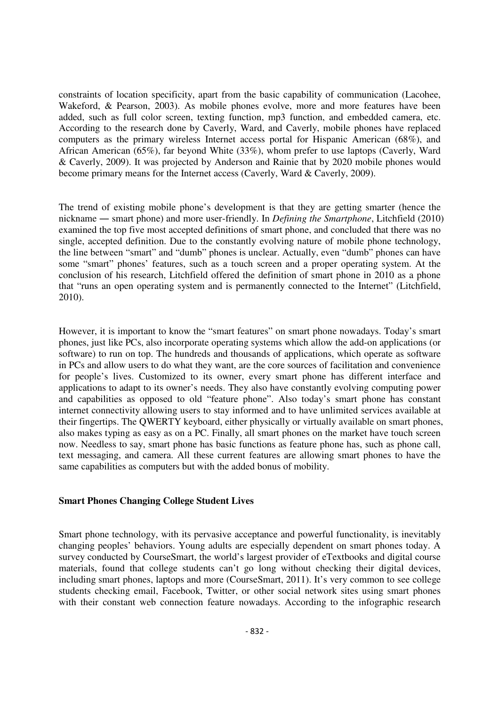constraints of location specificity, apart from the basic capability of communication (Lacohee, Wakeford, & Pearson, 2003). As mobile phones evolve, more and more features have been added, such as full color screen, texting function, mp3 function, and embedded camera, etc. According to the research done by Caverly, Ward, and Caverly, mobile phones have replaced computers as the primary wireless Internet access portal for Hispanic American (68%), and African American (65%), far beyond White (33%), whom prefer to use laptops (Caverly, Ward & Caverly, 2009). It was projected by Anderson and Rainie that by 2020 mobile phones would become primary means for the Internet access (Caverly, Ward & Caverly, 2009).

The trend of existing mobile phone's development is that they are getting smarter (hence the nickname ― smart phone) and more user-friendly. In *Defining the Smartphone*, Litchfield (2010) examined the top five most accepted definitions of smart phone, and concluded that there was no single, accepted definition. Due to the constantly evolving nature of mobile phone technology, the line between "smart" and "dumb" phones is unclear. Actually, even "dumb" phones can have some "smart" phones' features, such as a touch screen and a proper operating system. At the conclusion of his research, Litchfield offered the definition of smart phone in 2010 as a phone that "runs an open operating system and is permanently connected to the Internet" (Litchfield, 2010).

However, it is important to know the "smart features" on smart phone nowadays. Today's smart phones, just like PCs, also incorporate operating systems which allow the add-on applications (or software) to run on top. The hundreds and thousands of applications, which operate as software in PCs and allow users to do what they want, are the core sources of facilitation and convenience for people's lives. Customized to its owner, every smart phone has different interface and applications to adapt to its owner's needs. They also have constantly evolving computing power and capabilities as opposed to old "feature phone". Also today's smart phone has constant internet connectivity allowing users to stay informed and to have unlimited services available at their fingertips. The QWERTY keyboard, either physically or virtually available on smart phones, also makes typing as easy as on a PC. Finally, all smart phones on the market have touch screen now. Needless to say, smart phone has basic functions as feature phone has, such as phone call, text messaging, and camera. All these current features are allowing smart phones to have the same capabilities as computers but with the added bonus of mobility.

# **Smart Phones Changing College Student Lives**

Smart phone technology, with its pervasive acceptance and powerful functionality, is inevitably changing peoples' behaviors. Young adults are especially dependent on smart phones today. A survey conducted by CourseSmart, the world's largest provider of eTextbooks and digital course materials, found that college students can't go long without checking their digital devices, including smart phones, laptops and more (CourseSmart, 2011). It's very common to see college students checking email, Facebook, Twitter, or other social network sites using smart phones with their constant web connection feature nowadays. According to the infographic research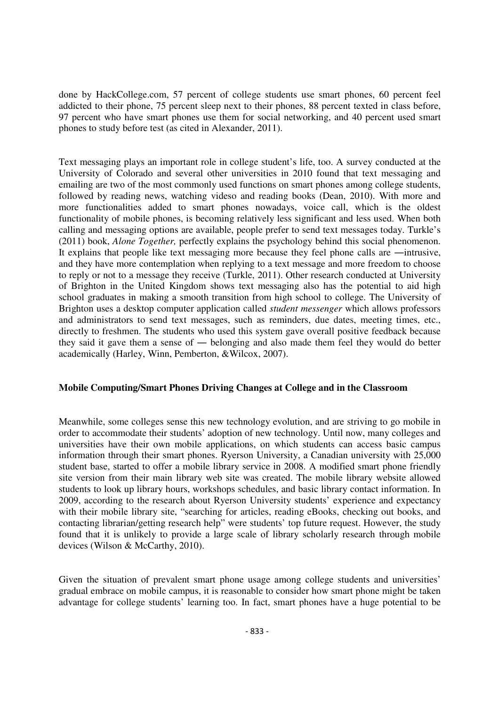done by HackCollege.com, 57 percent of college students use smart phones, 60 percent feel addicted to their phone, 75 percent sleep next to their phones, 88 percent texted in class before, 97 percent who have smart phones use them for social networking, and 40 percent used smart phones to study before test (as cited in Alexander, 2011).

Text messaging plays an important role in college student's life, too. A survey conducted at the University of Colorado and several other universities in 2010 found that text messaging and emailing are two of the most commonly used functions on smart phones among college students, followed by reading news, watching videso and reading books (Dean, 2010). With more and more functionalities added to smart phones nowadays, voice call, which is the oldest functionality of mobile phones, is becoming relatively less significant and less used. When both calling and messaging options are available, people prefer to send text messages today. Turkle's (2011) book, *Alone Together,* perfectly explains the psychology behind this social phenomenon. It explains that people like text messaging more because they feel phone calls are ―intrusive, and they have more contemplation when replying to a text message and more freedom to choose to reply or not to a message they receive (Turkle, 2011). Other research conducted at University of Brighton in the United Kingdom shows text messaging also has the potential to aid high school graduates in making a smooth transition from high school to college. The University of Brighton uses a desktop computer application called *student messenger* which allows professors and administrators to send text messages, such as reminders, due dates, meeting times, etc., directly to freshmen. The students who used this system gave overall positive feedback because they said it gave them a sense of ― belonging and also made them feel they would do better academically (Harley, Winn, Pemberton, &Wilcox, 2007).

## **Mobile Computing/Smart Phones Driving Changes at College and in the Classroom**

Meanwhile, some colleges sense this new technology evolution, and are striving to go mobile in order to accommodate their students' adoption of new technology. Until now, many colleges and universities have their own mobile applications, on which students can access basic campus information through their smart phones. Ryerson University, a Canadian university with 25,000 student base, started to offer a mobile library service in 2008. A modified smart phone friendly site version from their main library web site was created. The mobile library website allowed students to look up library hours, workshops schedules, and basic library contact information. In 2009, according to the research about Ryerson University students' experience and expectancy with their mobile library site, "searching for articles, reading eBooks, checking out books, and contacting librarian/getting research help" were students' top future request. However, the study found that it is unlikely to provide a large scale of library scholarly research through mobile devices (Wilson & McCarthy, 2010).

Given the situation of prevalent smart phone usage among college students and universities' gradual embrace on mobile campus, it is reasonable to consider how smart phone might be taken advantage for college students' learning too. In fact, smart phones have a huge potential to be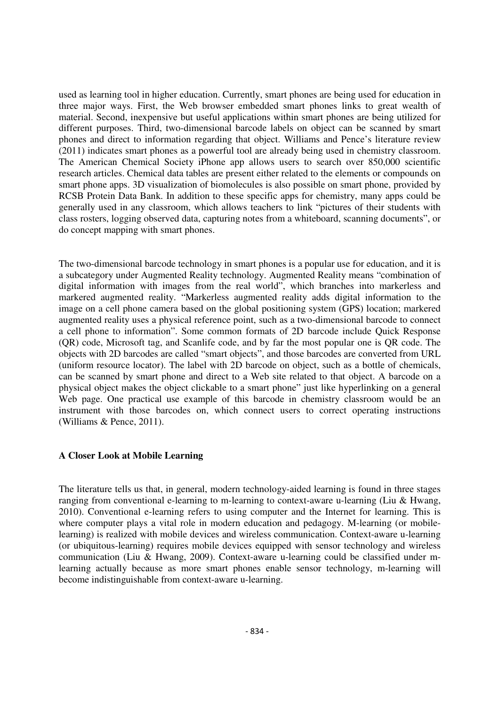used as learning tool in higher education. Currently, smart phones are being used for education in three major ways. First, the Web browser embedded smart phones links to great wealth of material. Second, inexpensive but useful applications within smart phones are being utilized for different purposes. Third, two-dimensional barcode labels on object can be scanned by smart phones and direct to information regarding that object. Williams and Pence's literature review (2011) indicates smart phones as a powerful tool are already being used in chemistry classroom. The American Chemical Society iPhone app allows users to search over 850,000 scientific research articles. Chemical data tables are present either related to the elements or compounds on smart phone apps. 3D visualization of biomolecules is also possible on smart phone, provided by RCSB Protein Data Bank. In addition to these specific apps for chemistry, many apps could be generally used in any classroom, which allows teachers to link "pictures of their students with class rosters, logging observed data, capturing notes from a whiteboard, scanning documents", or do concept mapping with smart phones.

The two-dimensional barcode technology in smart phones is a popular use for education, and it is a subcategory under Augmented Reality technology. Augmented Reality means "combination of digital information with images from the real world", which branches into markerless and markered augmented reality. "Markerless augmented reality adds digital information to the image on a cell phone camera based on the global positioning system (GPS) location; markered augmented reality uses a physical reference point, such as a two-dimensional barcode to connect a cell phone to information". Some common formats of 2D barcode include Quick Response (QR) code, Microsoft tag, and Scanlife code, and by far the most popular one is QR code. The objects with 2D barcodes are called "smart objects", and those barcodes are converted from URL (uniform resource locator). The label with 2D barcode on object, such as a bottle of chemicals, can be scanned by smart phone and direct to a Web site related to that object. A barcode on a physical object makes the object clickable to a smart phone" just like hyperlinking on a general Web page. One practical use example of this barcode in chemistry classroom would be an instrument with those barcodes on, which connect users to correct operating instructions (Williams & Pence, 2011).

## **A Closer Look at Mobile Learning**

The literature tells us that, in general, modern technology-aided learning is found in three stages ranging from conventional e-learning to m-learning to context-aware u-learning (Liu & Hwang, 2010). Conventional e-learning refers to using computer and the Internet for learning. This is where computer plays a vital role in modern education and pedagogy. M-learning (or mobilelearning) is realized with mobile devices and wireless communication. Context-aware u-learning (or ubiquitous-learning) requires mobile devices equipped with sensor technology and wireless communication (Liu & Hwang, 2009). Context-aware u-learning could be classified under mlearning actually because as more smart phones enable sensor technology, m-learning will become indistinguishable from context-aware u-learning.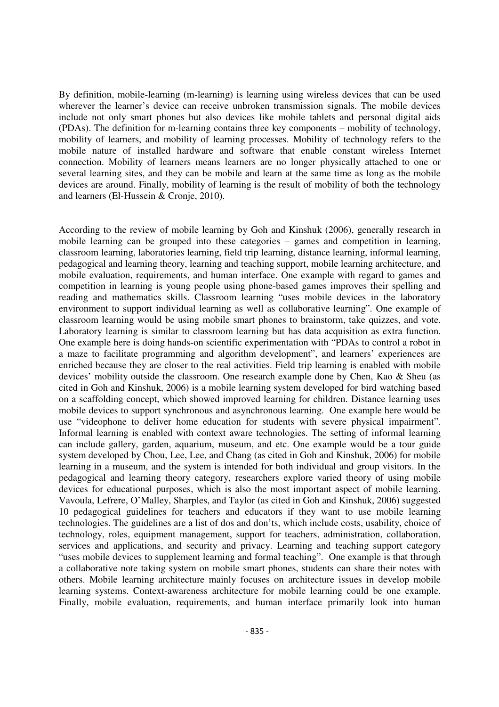By definition, mobile-learning (m-learning) is learning using wireless devices that can be used wherever the learner's device can receive unbroken transmission signals. The mobile devices include not only smart phones but also devices like mobile tablets and personal digital aids (PDAs). The definition for m-learning contains three key components – mobility of technology, mobility of learners, and mobility of learning processes. Mobility of technology refers to the mobile nature of installed hardware and software that enable constant wireless Internet connection. Mobility of learners means learners are no longer physically attached to one or several learning sites, and they can be mobile and learn at the same time as long as the mobile devices are around. Finally, mobility of learning is the result of mobility of both the technology and learners (El-Hussein & Cronje, 2010).

According to the review of mobile learning by Goh and Kinshuk (2006), generally research in mobile learning can be grouped into these categories – games and competition in learning, classroom learning, laboratories learning, field trip learning, distance learning, informal learning, pedagogical and learning theory, learning and teaching support, mobile learning architecture, and mobile evaluation, requirements, and human interface. One example with regard to games and competition in learning is young people using phone-based games improves their spelling and reading and mathematics skills. Classroom learning "uses mobile devices in the laboratory environment to support individual learning as well as collaborative learning". One example of classroom learning would be using mobile smart phones to brainstorm, take quizzes, and vote. Laboratory learning is similar to classroom learning but has data acquisition as extra function. One example here is doing hands-on scientific experimentation with "PDAs to control a robot in a maze to facilitate programming and algorithm development", and learners' experiences are enriched because they are closer to the real activities. Field trip learning is enabled with mobile devices' mobility outside the classroom. One research example done by Chen, Kao & Sheu (as cited in Goh and Kinshuk, 2006) is a mobile learning system developed for bird watching based on a scaffolding concept, which showed improved learning for children. Distance learning uses mobile devices to support synchronous and asynchronous learning. One example here would be use "videophone to deliver home education for students with severe physical impairment". Informal learning is enabled with context aware technologies. The setting of informal learning can include gallery, garden, aquarium, museum, and etc. One example would be a tour guide system developed by Chou, Lee, Lee, and Chang (as cited in Goh and Kinshuk, 2006) for mobile learning in a museum, and the system is intended for both individual and group visitors. In the pedagogical and learning theory category, researchers explore varied theory of using mobile devices for educational purposes, which is also the most important aspect of mobile learning. Vavoula, Lefrere, O'Malley, Sharples, and Taylor (as cited in Goh and Kinshuk, 2006) suggested 10 pedagogical guidelines for teachers and educators if they want to use mobile learning technologies. The guidelines are a list of dos and don'ts, which include costs, usability, choice of technology, roles, equipment management, support for teachers, administration, collaboration, services and applications, and security and privacy. Learning and teaching support category "uses mobile devices to supplement learning and formal teaching". One example is that through a collaborative note taking system on mobile smart phones, students can share their notes with others. Mobile learning architecture mainly focuses on architecture issues in develop mobile learning systems. Context-awareness architecture for mobile learning could be one example. Finally, mobile evaluation, requirements, and human interface primarily look into human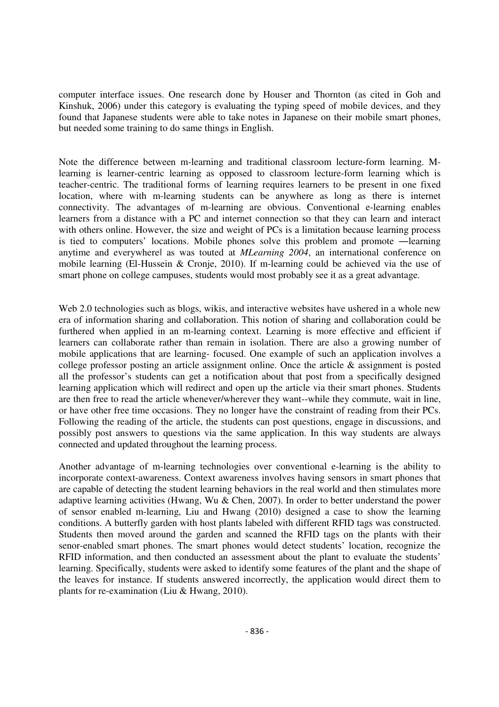computer interface issues. One research done by Houser and Thornton (as cited in Goh and Kinshuk, 2006) under this category is evaluating the typing speed of mobile devices, and they found that Japanese students were able to take notes in Japanese on their mobile smart phones, but needed some training to do same things in English.

Note the difference between m-learning and traditional classroom lecture-form learning. Mlearning is learner-centric learning as opposed to classroom lecture-form learning which is teacher-centric. The traditional forms of learning requires learners to be present in one fixed location, where with m-learning students can be anywhere as long as there is internet connectivity. The advantages of m-learning are obvious. Conventional e-learning enables learners from a distance with a PC and internet connection so that they can learn and interact with others online. However, the size and weight of PCs is a limitation because learning process is tied to computers' locations. Mobile phones solve this problem and promote ―learning anytime and everywherel as was touted at *MLearning 2004*, an international conference on mobile learning (El-Hussein & Cronje, 2010). If m-learning could be achieved via the use of smart phone on college campuses, students would most probably see it as a great advantage.

Web 2.0 technologies such as blogs, wikis, and interactive websites have ushered in a whole new era of information sharing and collaboration. This notion of sharing and collaboration could be furthered when applied in an m-learning context. Learning is more effective and efficient if learners can collaborate rather than remain in isolation. There are also a growing number of mobile applications that are learning- focused. One example of such an application involves a college professor posting an article assignment online. Once the article & assignment is posted all the professor's students can get a notification about that post from a specifically designed learning application which will redirect and open up the article via their smart phones. Students are then free to read the article whenever/wherever they want--while they commute, wait in line, or have other free time occasions. They no longer have the constraint of reading from their PCs. Following the reading of the article, the students can post questions, engage in discussions, and possibly post answers to questions via the same application. In this way students are always connected and updated throughout the learning process.

Another advantage of m-learning technologies over conventional e-learning is the ability to incorporate context-awareness. Context awareness involves having sensors in smart phones that are capable of detecting the student learning behaviors in the real world and then stimulates more adaptive learning activities (Hwang, Wu & Chen, 2007). In order to better understand the power of sensor enabled m-learning, Liu and Hwang (2010) designed a case to show the learning conditions. A butterfly garden with host plants labeled with different RFID tags was constructed. Students then moved around the garden and scanned the RFID tags on the plants with their senor-enabled smart phones. The smart phones would detect students' location, recognize the RFID information, and then conducted an assessment about the plant to evaluate the students' learning. Specifically, students were asked to identify some features of the plant and the shape of the leaves for instance. If students answered incorrectly, the application would direct them to plants for re-examination (Liu & Hwang, 2010).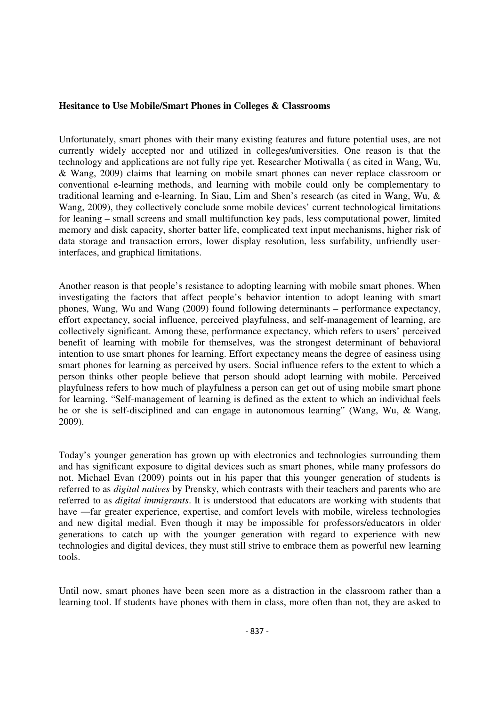### **Hesitance to Use Mobile/Smart Phones in Colleges & Classrooms**

Unfortunately, smart phones with their many existing features and future potential uses, are not currently widely accepted nor and utilized in colleges/universities. One reason is that the technology and applications are not fully ripe yet. Researcher Motiwalla ( as cited in Wang, Wu, & Wang, 2009) claims that learning on mobile smart phones can never replace classroom or conventional e-learning methods, and learning with mobile could only be complementary to traditional learning and e-learning. In Siau, Lim and Shen's research (as cited in Wang, Wu, & Wang, 2009), they collectively conclude some mobile devices' current technological limitations for leaning – small screens and small multifunction key pads, less computational power, limited memory and disk capacity, shorter batter life, complicated text input mechanisms, higher risk of data storage and transaction errors, lower display resolution, less surfability, unfriendly userinterfaces, and graphical limitations.

Another reason is that people's resistance to adopting learning with mobile smart phones. When investigating the factors that affect people's behavior intention to adopt leaning with smart phones, Wang, Wu and Wang (2009) found following determinants – performance expectancy, effort expectancy, social influence, perceived playfulness, and self-management of learning, are collectively significant. Among these, performance expectancy, which refers to users' perceived benefit of learning with mobile for themselves, was the strongest determinant of behavioral intention to use smart phones for learning. Effort expectancy means the degree of easiness using smart phones for learning as perceived by users. Social influence refers to the extent to which a person thinks other people believe that person should adopt learning with mobile. Perceived playfulness refers to how much of playfulness a person can get out of using mobile smart phone for learning. "Self-management of learning is defined as the extent to which an individual feels he or she is self-disciplined and can engage in autonomous learning" (Wang, Wu, & Wang, 2009).

Today's younger generation has grown up with electronics and technologies surrounding them and has significant exposure to digital devices such as smart phones, while many professors do not. Michael Evan (2009) points out in his paper that this younger generation of students is referred to as *digital natives* by Prensky, which contrasts with their teachers and parents who are referred to as *digital immigrants*. It is understood that educators are working with students that have —far greater experience, expertise, and comfort levels with mobile, wireless technologies and new digital mediaǁ. Even though it may be impossible for professors/educators in older generations to catch up with the younger generation with regard to experience with new technologies and digital devices, they must still strive to embrace them as powerful new learning tools.

Until now, smart phones have been seen more as a distraction in the classroom rather than a learning tool. If students have phones with them in class, more often than not, they are asked to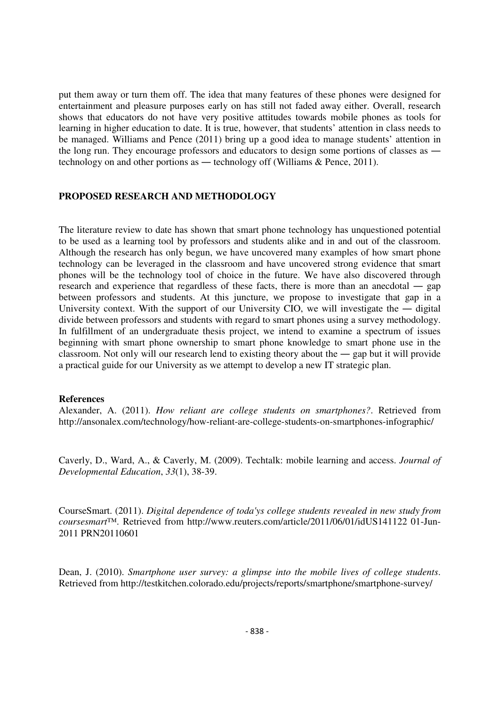put them away or turn them off. The idea that many features of these phones were designed for entertainment and pleasure purposes early on has still not faded away either. Overall, research shows that educators do not have very positive attitudes towards mobile phones as tools for learning in higher education to date. It is true, however, that students' attention in class needs to be managed. Williams and Pence (2011) bring up a good idea to manage students' attention in the long run. They encourage professors and educators to design some portions of classes as ― technology on and other portions as ― technology off (Williams & Pence, 2011).

### **PROPOSED RESEARCH AND METHODOLOGY**

The literature review to date has shown that smart phone technology has unquestioned potential to be used as a learning tool by professors and students alike and in and out of the classroom. Although the research has only begun, we have uncovered many examples of how smart phone technology can be leveraged in the classroom and have uncovered strong evidence that smart phones will be the technology tool of choice in the future. We have also discovered through research and experience that regardless of these facts, there is more than an anecdotal ― gap between professors and students. At this juncture, we propose to investigate that gap in a University context. With the support of our University CIO, we will investigate the  $-$  digital divide between professors and students with regard to smart phones using a survey methodology. In fulfillment of an undergraduate thesis project, we intend to examine a spectrum of issues beginning with smart phone ownership to smart phone knowledge to smart phone use in the classroom. Not only will our research lend to existing theory about the ― gap but it will provide a practical guide for our University as we attempt to develop a new IT strategic plan.

#### **References**

Alexander, A. (2011). *How reliant are college students on smartphones?*. Retrieved from http://ansonalex.com/technology/how-reliant-are-college-students-on-smartphones-infographic/

Caverly, D., Ward, A., & Caverly, M. (2009). Techtalk: mobile learning and access. *Journal of Developmental Education*, *33*(1), 38-39.

CourseSmart. (2011). *Digital dependence of toda'ys college students revealed in new study from coursesmart™*. Retrieved from http://www.reuters.com/article/2011/06/01/idUS141122 01-Jun-2011 PRN20110601

Dean, J. (2010). *Smartphone user survey: a glimpse into the mobile lives of college students*. Retrieved from http://testkitchen.colorado.edu/projects/reports/smartphone/smartphone-survey/